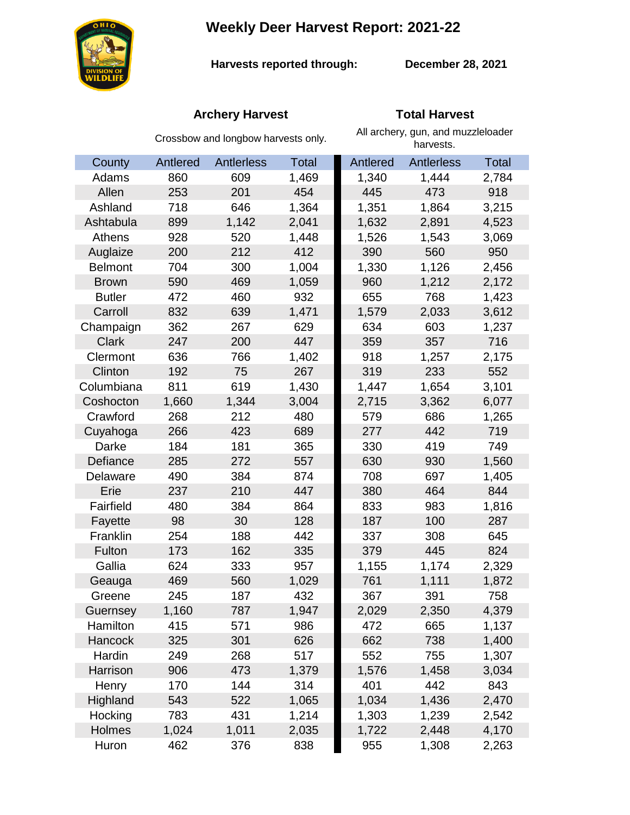**Weekly Deer Harvest Report: 2021-22**



**Harvests reported through: December 28, 2021**

## **Archery Harvest Total Harvest**

|                | Crossbow and longbow harvests only. |            |       | All archery, gun, and muzzleloader<br>harvests. |                   |              |  |
|----------------|-------------------------------------|------------|-------|-------------------------------------------------|-------------------|--------------|--|
| County         | Antlered                            | Antlerless | Total | Antlered                                        | <b>Antlerless</b> | <b>Total</b> |  |
| Adams          | 860                                 | 609        | 1,469 | 1,340                                           | 1,444             | 2,784        |  |
| Allen          | 253                                 | 201        | 454   | 445                                             | 473               | 918          |  |
| Ashland        | 718                                 | 646        | 1,364 | 1,351                                           | 1,864             | 3,215        |  |
| Ashtabula      | 899                                 | 1,142      | 2,041 | 1,632                                           | 2,891             | 4,523        |  |
| Athens         | 928                                 | 520        | 1,448 | 1,526                                           | 1,543             | 3,069        |  |
| Auglaize       | 200                                 | 212        | 412   | 390                                             | 560               | 950          |  |
| <b>Belmont</b> | 704                                 | 300        | 1,004 | 1,330                                           | 1,126             | 2,456        |  |
| <b>Brown</b>   | 590                                 | 469        | 1,059 | 960                                             | 1,212             | 2,172        |  |
| <b>Butler</b>  | 472                                 | 460        | 932   | 655                                             | 768               | 1,423        |  |
| Carroll        | 832                                 | 639        | 1,471 | 1,579                                           | 2,033             | 3,612        |  |
| Champaign      | 362                                 | 267        | 629   | 634                                             | 603               | 1,237        |  |
| <b>Clark</b>   | 247                                 | 200        | 447   | 359                                             | 357               | 716          |  |
| Clermont       | 636                                 | 766        | 1,402 | 918                                             | 1,257             | 2,175        |  |
| Clinton        | 192                                 | 75         | 267   | 319                                             | 233               | 552          |  |
| Columbiana     | 811                                 | 619        | 1,430 | 1,447                                           | 1,654             | 3,101        |  |
| Coshocton      | 1,660                               | 1,344      | 3,004 | 2,715                                           | 3,362             | 6,077        |  |
| Crawford       | 268                                 | 212        | 480   | 579                                             | 686               | 1,265        |  |
| Cuyahoga       | 266                                 | 423        | 689   | 277                                             | 442               | 719          |  |
| Darke          | 184                                 | 181        | 365   | 330                                             | 419               | 749          |  |
| Defiance       | 285                                 | 272        | 557   | 630                                             | 930               | 1,560        |  |
| Delaware       | 490                                 | 384        | 874   | 708                                             | 697               | 1,405        |  |
| Erie           | 237                                 | 210        | 447   | 380                                             | 464               | 844          |  |
| Fairfield      | 480                                 | 384        | 864   | 833                                             | 983               | 1,816        |  |
| Fayette        | 98                                  | 30         | 128   | 187                                             | 100               | 287          |  |
| Franklin       | 254                                 | 188        | 442   | 337                                             | 308               | 645          |  |
| Fulton         | 173                                 | 162        | 335   | 379                                             | 445               | 824          |  |
| Gallia         | 624                                 | 333        | 957   | 1,155                                           | 1,174             | 2,329        |  |
| Geauga         | 469                                 | 560        | 1,029 | 761                                             | 1,111             | 1,872        |  |
| Greene         | 245                                 | 187        | 432   | 367                                             | 391               | 758          |  |
| Guernsey       | 1,160                               | 787        | 1,947 | 2,029                                           | 2,350             | 4,379        |  |
| Hamilton       | 415                                 | 571        | 986   | 472                                             | 665               | 1,137        |  |
| Hancock        | 325                                 | 301        | 626   | 662                                             | 738               | 1,400        |  |
| Hardin         | 249                                 | 268        | 517   | 552                                             | 755               | 1,307        |  |
| Harrison       | 906                                 | 473        | 1,379 | 1,576                                           | 1,458             | 3,034        |  |
| Henry          | 170                                 | 144        | 314   | 401                                             | 442               | 843          |  |
| Highland       | 543                                 | 522        | 1,065 | 1,034                                           | 1,436             | 2,470        |  |
| Hocking        | 783                                 | 431        | 1,214 | 1,303                                           | 1,239             | 2,542        |  |
| Holmes         | 1,024                               | 1,011      | 2,035 | 1,722                                           | 2,448             | 4,170        |  |
| Huron          | 462                                 | 376        | 838   | 955                                             | 1,308             | 2,263        |  |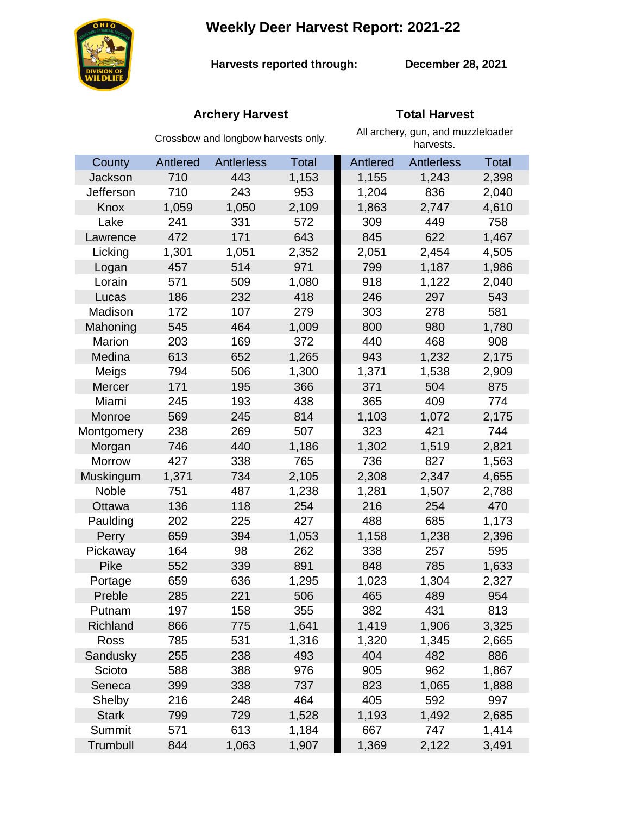**Weekly Deer Harvest Report: 2021-22**



**Harvests reported through:** 

**December 28, 2021**

# **Archery Harvest Total Harvest**

|                | Crossbow and longbow harvests only. |                   |              | All archery, gun, and muzzleloader<br>harvests. |            |              |
|----------------|-------------------------------------|-------------------|--------------|-------------------------------------------------|------------|--------------|
| County         | Antlered                            | <b>Antlerless</b> | <b>Total</b> | <b>Antlered</b>                                 | Antlerless | <b>Total</b> |
| <b>Jackson</b> | 710                                 | 443               | 1,153        | 1,155                                           | 1,243      | 2,398        |
| Jefferson      | 710                                 | 243               | 953          | 1,204                                           | 836        | 2,040        |
| Knox           | 1,059                               | 1,050             | 2,109        | 1,863                                           | 2,747      | 4,610        |
| Lake           | 241                                 | 331               | 572          | 309                                             | 449        | 758          |
| Lawrence       | 472                                 | 171               | 643          | 845                                             | 622        | 1,467        |
| Licking        | 1,301                               | 1,051             | 2,352        | 2,051                                           | 2,454      | 4,505        |
| Logan          | 457                                 | 514               | 971          | 799                                             | 1,187      | 1,986        |
| Lorain         | 571                                 | 509               | 1,080        | 918                                             | 1,122      | 2,040        |
| Lucas          | 186                                 | 232               | 418          | 246                                             | 297        | 543          |
| Madison        | 172                                 | 107               | 279          | 303                                             | 278        | 581          |
| Mahoning       | 545                                 | 464               | 1,009        | 800                                             | 980        | 1,780        |
| <b>Marion</b>  | 203                                 | 169               | 372          | 440                                             | 468        | 908          |
| Medina         | 613                                 | 652               | 1,265        | 943                                             | 1,232      | 2,175        |
| Meigs          | 794                                 | 506               | 1,300        | 1,371                                           | 1,538      | 2,909        |
| Mercer         | 171                                 | 195               | 366          | 371                                             | 504        | 875          |
| Miami          | 245                                 | 193               | 438          | 365                                             | 409        | 774          |
| Monroe         | 569                                 | 245               | 814          | 1,103                                           | 1,072      | 2,175        |
| Montgomery     | 238                                 | 269               | 507          | 323                                             | 421        | 744          |
| Morgan         | 746                                 | 440               | 1,186        | 1,302                                           | 1,519      | 2,821        |
| Morrow         | 427                                 | 338               | 765          | 736                                             | 827        | 1,563        |
| Muskingum      | 1,371                               | 734               | 2,105        | 2,308                                           | 2,347      | 4,655        |
| Noble          | 751                                 | 487               | 1,238        | 1,281                                           | 1,507      | 2,788        |
| Ottawa         | 136                                 | 118               | 254          | 216                                             | 254        | 470          |
| Paulding       | 202                                 | 225               | 427          | 488                                             | 685        | 1,173        |
| Perry          | 659                                 | 394               | 1,053        | 1,158                                           | 1,238      | 2,396        |
| Pickaway       | 164                                 | 98                | 262          | 338                                             | 257        | 595          |
| <b>Pike</b>    | 552                                 | 339               | 891          | 848                                             | 785        | 1,633        |
| Portage        | 659                                 | 636               | 1,295        | 1,023                                           | 1,304      | 2,327        |
| Preble         | 285                                 | 221               | 506          | 465                                             | 489        | 954          |
| Putnam         | 197                                 | 158               | 355          | 382                                             | 431        | 813          |
| Richland       | 866                                 | 775               | 1,641        | 1,419                                           | 1,906      | 3,325        |
| Ross           | 785                                 | 531               | 1,316        | 1,320                                           | 1,345      | 2,665        |
| Sandusky       | 255                                 | 238               | 493          | 404                                             | 482        | 886          |
| Scioto         | 588                                 | 388               | 976          | 905                                             | 962        | 1,867        |
| Seneca         | 399                                 | 338               | 737          | 823                                             | 1,065      | 1,888        |
| Shelby         | 216                                 | 248               | 464          | 405                                             | 592        | 997          |
| <b>Stark</b>   | 799                                 | 729               | 1,528        | 1,193                                           | 1,492      | 2,685        |
| Summit         | 571                                 | 613               | 1,184        | 667                                             | 747        | 1,414        |
| Trumbull       | 844                                 | 1,063             | 1,907        | 1,369                                           | 2,122      | 3,491        |